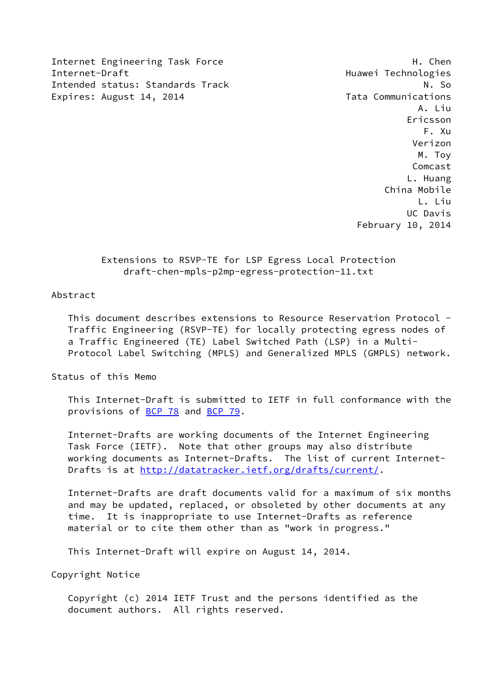Internet Engineering Task Force **H. Chen** Internet-Draft Huawei Technologies Intended status: Standards Track N. So Expires: August 14, 2014 **Tata Communications** 

 A. Liu Ericsson F. Xu Verizon M. Toy Comcast L. Huang China Mobile L. Liu UC Davis February 10, 2014

# Extensions to RSVP-TE for LSP Egress Local Protection draft-chen-mpls-p2mp-egress-protection-11.txt

#### Abstract

 This document describes extensions to Resource Reservation Protocol - Traffic Engineering (RSVP-TE) for locally protecting egress nodes of a Traffic Engineered (TE) Label Switched Path (LSP) in a Multi- Protocol Label Switching (MPLS) and Generalized MPLS (GMPLS) network.

Status of this Memo

 This Internet-Draft is submitted to IETF in full conformance with the provisions of [BCP 78](https://datatracker.ietf.org/doc/pdf/bcp78) and [BCP 79](https://datatracker.ietf.org/doc/pdf/bcp79).

 Internet-Drafts are working documents of the Internet Engineering Task Force (IETF). Note that other groups may also distribute working documents as Internet-Drafts. The list of current Internet- Drafts is at<http://datatracker.ietf.org/drafts/current/>.

 Internet-Drafts are draft documents valid for a maximum of six months and may be updated, replaced, or obsoleted by other documents at any time. It is inappropriate to use Internet-Drafts as reference material or to cite them other than as "work in progress."

This Internet-Draft will expire on August 14, 2014.

Copyright Notice

 Copyright (c) 2014 IETF Trust and the persons identified as the document authors. All rights reserved.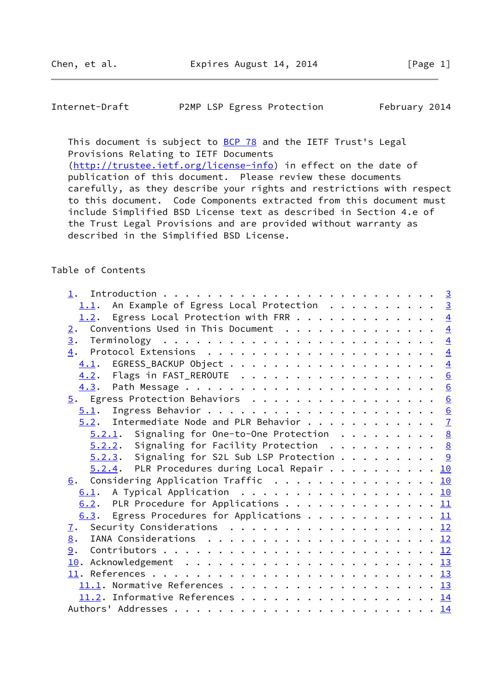Internet-Draft P2MP LSP Egress Protection February 2014

This document is subject to **[BCP 78](https://datatracker.ietf.org/doc/pdf/bcp78)** and the IETF Trust's Legal Provisions Relating to IETF Documents [\(http://trustee.ietf.org/license-info](http://trustee.ietf.org/license-info)) in effect on the date of

 publication of this document. Please review these documents carefully, as they describe your rights and restrictions with respect to this document. Code Components extracted from this document must include Simplified BSD License text as described in Section 4.e of the Trust Legal Provisions and are provided without warranty as described in the Simplified BSD License.

# Table of Contents

| 1.1. An Example of Egress Local Protection 3             |  |
|----------------------------------------------------------|--|
| 1.2. Egress Local Protection with FRR 4                  |  |
| Conventions Used in This Document $\frac{4}{5}$<br>2.    |  |
|                                                          |  |
|                                                          |  |
|                                                          |  |
| 4.2. Flags in FAST_REROUTE 6                             |  |
|                                                          |  |
| 5. Egress Protection Behaviors 6                         |  |
|                                                          |  |
| $5.2$ . Intermediate Node and PLR Behavior $\frac{7}{2}$ |  |
| $5.2.1$ . Signaling for One-to-One Protection 8          |  |
| $5.2.2.$ Signaling for Facility Protection 8             |  |
| $5.2.3$ . Signaling for S2L Sub LSP Protection 9         |  |
| $5.2.4$ . PLR Procedures during Local Repair 10          |  |
| 6. Considering Application Traffic 10                    |  |
| 6.1. A Typical Application 10                            |  |
| 6.2. PLR Procedure for Applications 11                   |  |
| 6.3. Egress Procedures for Applications 11               |  |
| 7. Security Considerations 12                            |  |
| 8.                                                       |  |
| 9.                                                       |  |
|                                                          |  |
|                                                          |  |
|                                                          |  |
| 11.2. Informative References 14                          |  |
|                                                          |  |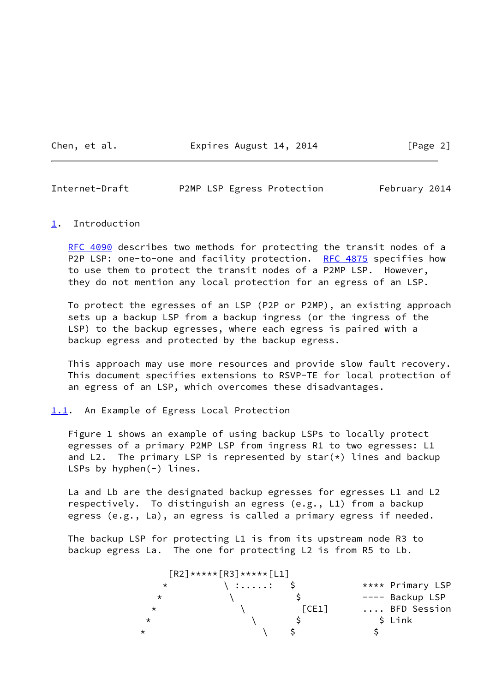Chen, et al. **Expires August 14, 2014** [Page 2]

<span id="page-2-1"></span>Internet-Draft P2MP LSP Egress Protection February 2014

#### <span id="page-2-0"></span>[1](#page-2-0). Introduction

[RFC 4090](https://datatracker.ietf.org/doc/pdf/rfc4090) describes two methods for protecting the transit nodes of a P2P LSP: one-to-one and facility protection. [RFC 4875](https://datatracker.ietf.org/doc/pdf/rfc4875) specifies how to use them to protect the transit nodes of a P2MP LSP. However, they do not mention any local protection for an egress of an LSP.

 To protect the egresses of an LSP (P2P or P2MP), an existing approach sets up a backup LSP from a backup ingress (or the ingress of the LSP) to the backup egresses, where each egress is paired with a backup egress and protected by the backup egress.

 This approach may use more resources and provide slow fault recovery. This document specifies extensions to RSVP-TE for local protection of an egress of an LSP, which overcomes these disadvantages.

<span id="page-2-2"></span>[1.1](#page-2-2). An Example of Egress Local Protection

 Figure 1 shows an example of using backup LSPs to locally protect egresses of a primary P2MP LSP from ingress R1 to two egresses: L1 and L2. The primary LSP is represented by star $(*)$  lines and backup LSPs by hyphen(-) lines.

 La and Lb are the designated backup egresses for egresses L1 and L2 respectively. To distinguish an egress (e.g., L1) from a backup egress (e.g., La), an egress is called a primary egress if needed.

 The backup LSP for protecting L1 is from its upstream node R3 to backup egress La. The one for protecting L2 is from R5 to Lb.

|          | $\lceil R2 \rceil$ ***** $\lceil R3 \rceil$ ***** $\lceil L1 \rceil$ |       |                  |
|----------|----------------------------------------------------------------------|-------|------------------|
| $\star$  | $\backslash$ :: \$                                                   |       | **** Primary LSP |
| $^\star$ |                                                                      |       | ---- Backup LSP  |
| $\star$  |                                                                      | [CE1] | BFD Session      |
| $^\star$ |                                                                      |       | \$ Link          |
| $^\star$ |                                                                      |       |                  |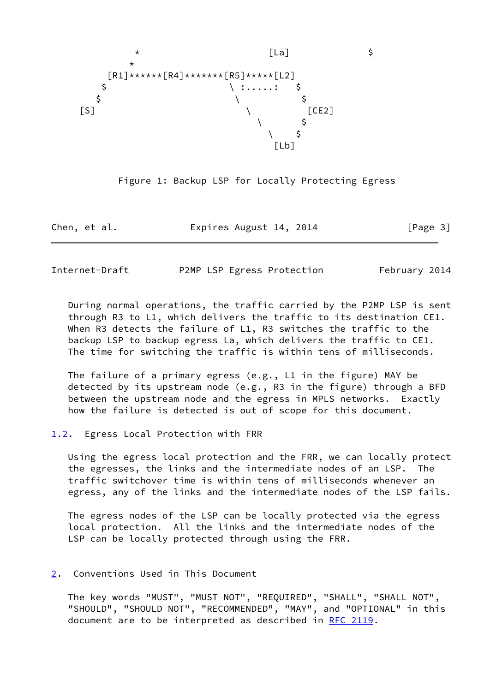



Chen, et al. **Expires August 14, 2014** [Page 3]

<span id="page-3-1"></span>Internet-Draft P2MP LSP Egress Protection February 2014

 During normal operations, the traffic carried by the P2MP LSP is sent through R3 to L1, which delivers the traffic to its destination CE1. When R3 detects the failure of L1, R3 switches the traffic to the backup LSP to backup egress La, which delivers the traffic to CE1. The time for switching the traffic is within tens of milliseconds.

 The failure of a primary egress (e.g., L1 in the figure) MAY be detected by its upstream node (e.g., R3 in the figure) through a BFD between the upstream node and the egress in MPLS networks. Exactly how the failure is detected is out of scope for this document.

<span id="page-3-0"></span>[1.2](#page-3-0). Egress Local Protection with FRR

 Using the egress local protection and the FRR, we can locally protect the egresses, the links and the intermediate nodes of an LSP. The traffic switchover time is within tens of milliseconds whenever an egress, any of the links and the intermediate nodes of the LSP fails.

 The egress nodes of the LSP can be locally protected via the egress local protection. All the links and the intermediate nodes of the LSP can be locally protected through using the FRR.

## <span id="page-3-2"></span>[2](#page-3-2). Conventions Used in This Document

 The key words "MUST", "MUST NOT", "REQUIRED", "SHALL", "SHALL NOT", "SHOULD", "SHOULD NOT", "RECOMMENDED", "MAY", and "OPTIONAL" in this document are to be interpreted as described in [RFC 2119.](https://datatracker.ietf.org/doc/pdf/rfc2119)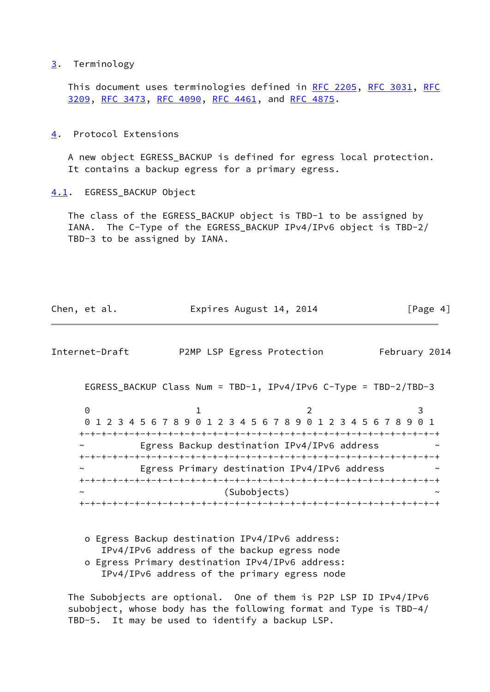### <span id="page-4-0"></span>[3](#page-4-0). Terminology

 This document uses terminologies defined in [RFC 2205,](https://datatracker.ietf.org/doc/pdf/rfc2205) [RFC 3031](https://datatracker.ietf.org/doc/pdf/rfc3031), [RFC](https://datatracker.ietf.org/doc/pdf/rfc3209) [3209](https://datatracker.ietf.org/doc/pdf/rfc3209), [RFC 3473](https://datatracker.ietf.org/doc/pdf/rfc3473), [RFC 4090](https://datatracker.ietf.org/doc/pdf/rfc4090), [RFC 4461](https://datatracker.ietf.org/doc/pdf/rfc4461), and [RFC 4875](https://datatracker.ietf.org/doc/pdf/rfc4875).

<span id="page-4-1"></span>[4](#page-4-1). Protocol Extensions

 A new object EGRESS\_BACKUP is defined for egress local protection. It contains a backup egress for a primary egress.

<span id="page-4-2"></span>[4.1](#page-4-2). EGRESS\_BACKUP Object

 The class of the EGRESS\_BACKUP object is TBD-1 to be assigned by IANA. The C-Type of the EGRESS\_BACKUP IPv4/IPv6 object is TBD-2/ TBD-3 to be assigned by IANA.

| Chen, et al.   | Expires August 14, 2014    | [Page 4]      |
|----------------|----------------------------|---------------|
|                |                            |               |
| Internet-Draft | P2MP LSP Egress Protection | February 2014 |

EGRESS\_BACKUP Class Num = TBD-1, IPv4/IPv6 C-Type = TBD-2/TBD-3

|                       | 0 1 2 3 4 5 6 7 8 9 0 1 2 3 4 5 6 7 8 9 0 1 2 3 4 5 6 7 8 9 0 1 |                |  |
|-----------------------|-----------------------------------------------------------------|----------------|--|
|                       |                                                                 |                |  |
| $\tilde{\phantom{a}}$ | Egress Backup destination IPv4/IPv6 address                     |                |  |
|                       |                                                                 |                |  |
| $\sim$                | Egress Primary destination IPv4/IPv6 address                    |                |  |
|                       |                                                                 |                |  |
| $\sim$                |                                                                 | (Subobjects)   |  |
|                       |                                                                 | -+-+-+-+-+-+-+ |  |

 o Egress Backup destination IPv4/IPv6 address: IPv4/IPv6 address of the backup egress node o Egress Primary destination IPv4/IPv6 address: IPv4/IPv6 address of the primary egress node

 The Subobjects are optional. One of them is P2P LSP ID IPv4/IPv6 subobject, whose body has the following format and Type is TBD-4/ TBD-5. It may be used to identify a backup LSP.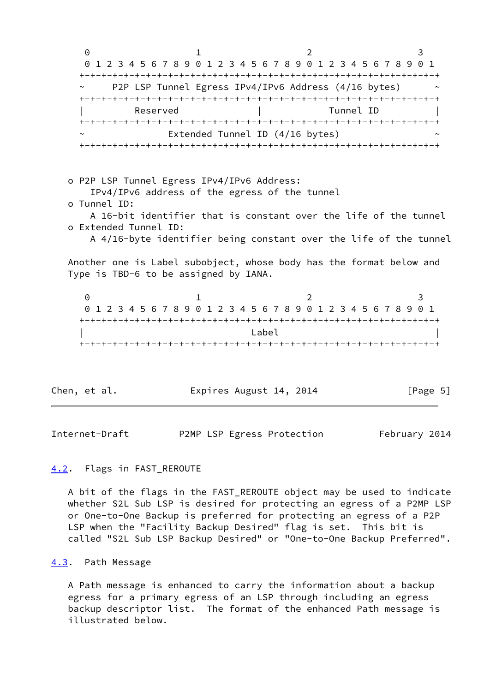0 1 2 3 0 1 2 3 4 5 6 7 8 9 0 1 2 3 4 5 6 7 8 9 0 1 2 3 4 5 6 7 8 9 0 1 +-+-+-+-+-+-+-+-+-+-+-+-+-+-+-+-+-+-+-+-+-+-+-+-+-+-+-+-+-+-+-+-+ P2P LSP Tunnel Egress IPv4/IPv6 Address (4/16 bytes) +-+-+-+-+-+-+-+-+-+-+-+-+-+-+-+-+-+-+-+-+-+-+-+-+-+-+-+-+-+-+-+-+ Reserved | Tunnel ID +-+-+-+-+-+-+-+-+-+-+-+-+-+-+-+-+-+-+-+-+-+-+-+-+-+-+-+-+-+-+-+-+ Extended Tunnel ID  $(4/16$  bytes) +-+-+-+-+-+-+-+-+-+-+-+-+-+-+-+-+-+-+-+-+-+-+-+-+-+-+-+-+-+-+-+-+ o P2P LSP Tunnel Egress IPv4/IPv6 Address: IPv4/IPv6 address of the egress of the tunnel o Tunnel ID: A 16-bit identifier that is constant over the life of the tunnel o Extended Tunnel ID: A 4/16-byte identifier being constant over the life of the tunnel Another one is Label subobject, whose body has the format below and Type is TBD-6 to be assigned by IANA. 0 1 2 3 0 1 2 3 4 5 6 7 8 9 0 1 2 3 4 5 6 7 8 9 0 1 2 3 4 5 6 7 8 9 0 1 +-+-+-+-+-+-+-+-+-+-+-+-+-+-+-+-+-+-+-+-+-+-+-+-+-+-+-+-+-+-+-+-+  $\Box$  +-+-+-+-+-+-+-+-+-+-+-+-+-+-+-+-+-+-+-+-+-+-+-+-+-+-+-+-+-+-+-+-+ Chen, et al. **Expires August 14, 2014** [Page 5]

<span id="page-5-1"></span>Internet-Draft P2MP LSP Egress Protection February 2014

### <span id="page-5-0"></span>[4.2](#page-5-0). Flags in FAST\_REROUTE

 A bit of the flags in the FAST\_REROUTE object may be used to indicate whether S2L Sub LSP is desired for protecting an egress of a P2MP LSP or One-to-One Backup is preferred for protecting an egress of a P2P LSP when the "Facility Backup Desired" flag is set. This bit is called "S2L Sub LSP Backup Desired" or "One-to-One Backup Preferred".

### <span id="page-5-2"></span>[4.3](#page-5-2). Path Message

 A Path message is enhanced to carry the information about a backup egress for a primary egress of an LSP through including an egress backup descriptor list. The format of the enhanced Path message is illustrated below.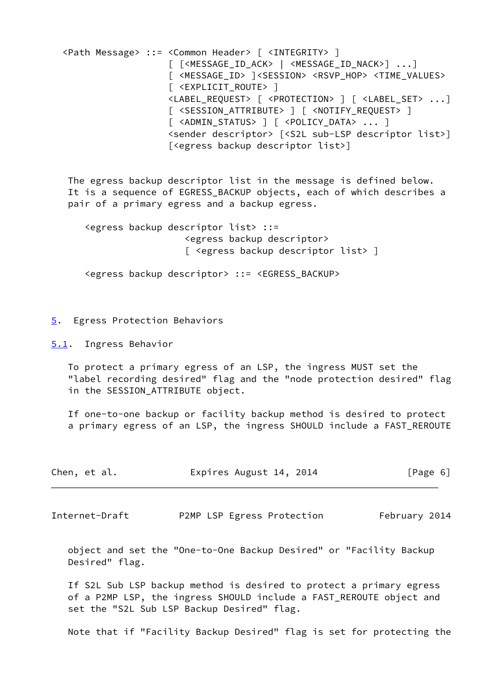<Path Message> ::= <Common Header> [ <INTEGRITY> ] [ [<MESSAGE\_ID\_ACK> | <MESSAGE\_ID\_NACK>] ...] [ <MESSAGE\_ID> ]<SESSION> <RSVP\_HOP> <TIME\_VALUES> [ <EXPLICIT\_ROUTE> ] <LABEL\_REQUEST> [ <PROTECTION> ] [ <LABEL\_SET> ...] [ <SESSION\_ATTRIBUTE> ] [ <NOTIFY\_REQUEST> ] [ <ADMIN STATUS> ] [ <POLICY DATA> ... ] <sender descriptor> [<S2L sub-LSP descriptor list>] [<egress backup descriptor list>] The egress backup descriptor list in the message is defined below. It is a sequence of EGRESS BACKUP objects, each of which describes a pair of a primary egress and a backup egress. <egress backup descriptor list> ::= <egress backup descriptor> [ <egress backup descriptor list> ] <egress backup descriptor> ::= <EGRESS\_BACKUP>

#### <span id="page-6-0"></span>[5](#page-6-0). Egress Protection Behaviors

<span id="page-6-1"></span>[5.1](#page-6-1). Ingress Behavior

 To protect a primary egress of an LSP, the ingress MUST set the "label recording desired" flag and the "node protection desired" flag in the SESSION\_ATTRIBUTE object.

 If one-to-one backup or facility backup method is desired to protect a primary egress of an LSP, the ingress SHOULD include a FAST\_REROUTE

| Chen, et al. | Expires August 14, 2014 | [Page 6] |
|--------------|-------------------------|----------|
|--------------|-------------------------|----------|

<span id="page-6-2"></span>Internet-Draft P2MP LSP Egress Protection February 2014

 object and set the "One-to-One Backup Desired" or "Facility Backup Desired" flag.

 If S2L Sub LSP backup method is desired to protect a primary egress of a P2MP LSP, the ingress SHOULD include a FAST\_REROUTE object and set the "S2L Sub LSP Backup Desired" flag.

Note that if "Facility Backup Desired" flag is set for protecting the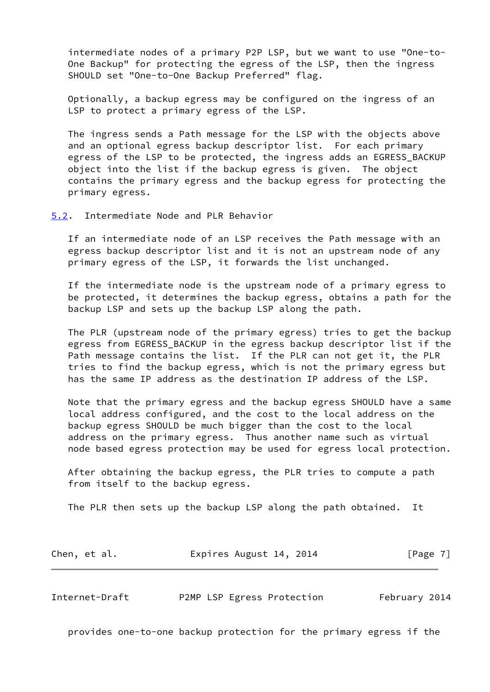intermediate nodes of a primary P2P LSP, but we want to use "One-to- One Backup" for protecting the egress of the LSP, then the ingress SHOULD set "One-to-One Backup Preferred" flag.

 Optionally, a backup egress may be configured on the ingress of an LSP to protect a primary egress of the LSP.

 The ingress sends a Path message for the LSP with the objects above and an optional egress backup descriptor list. For each primary egress of the LSP to be protected, the ingress adds an EGRESS\_BACKUP object into the list if the backup egress is given. The object contains the primary egress and the backup egress for protecting the primary egress.

<span id="page-7-0"></span>[5.2](#page-7-0). Intermediate Node and PLR Behavior

 If an intermediate node of an LSP receives the Path message with an egress backup descriptor list and it is not an upstream node of any primary egress of the LSP, it forwards the list unchanged.

 If the intermediate node is the upstream node of a primary egress to be protected, it determines the backup egress, obtains a path for the backup LSP and sets up the backup LSP along the path.

 The PLR (upstream node of the primary egress) tries to get the backup egress from EGRESS\_BACKUP in the egress backup descriptor list if the Path message contains the list. If the PLR can not get it, the PLR tries to find the backup egress, which is not the primary egress but has the same IP address as the destination IP address of the LSP.

 Note that the primary egress and the backup egress SHOULD have a same local address configured, and the cost to the local address on the backup egress SHOULD be much bigger than the cost to the local address on the primary egress. Thus another name such as virtual node based egress protection may be used for egress local protection.

 After obtaining the backup egress, the PLR tries to compute a path from itself to the backup egress.

The PLR then sets up the backup LSP along the path obtained. It

| Expires August 14, 2014<br>Chen, et al. | [Page 7] |
|-----------------------------------------|----------|
|-----------------------------------------|----------|

<span id="page-7-1"></span>Internet-Draft P2MP LSP Egress Protection February 2014

provides one-to-one backup protection for the primary egress if the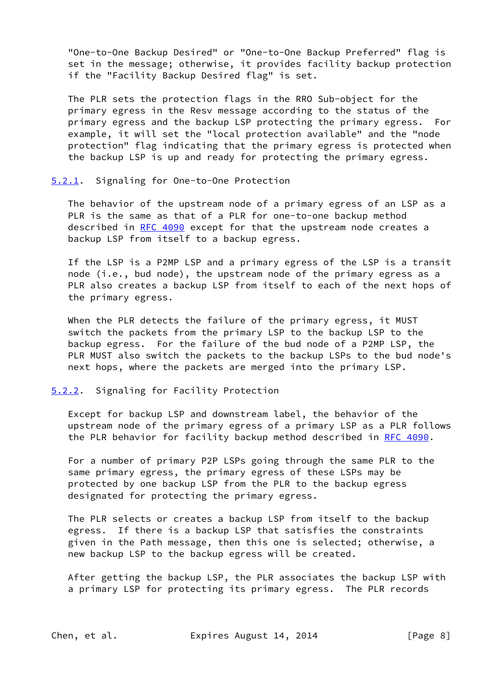"One-to-One Backup Desired" or "One-to-One Backup Preferred" flag is set in the message; otherwise, it provides facility backup protection if the "Facility Backup Desired flag" is set.

 The PLR sets the protection flags in the RRO Sub-object for the primary egress in the Resv message according to the status of the primary egress and the backup LSP protecting the primary egress. For example, it will set the "local protection available" and the "node protection" flag indicating that the primary egress is protected when the backup LSP is up and ready for protecting the primary egress.

<span id="page-8-0"></span>[5.2.1](#page-8-0). Signaling for One-to-One Protection

 The behavior of the upstream node of a primary egress of an LSP as a PLR is the same as that of a PLR for one-to-one backup method described in [RFC 4090](https://datatracker.ietf.org/doc/pdf/rfc4090) except for that the upstream node creates a backup LSP from itself to a backup egress.

 If the LSP is a P2MP LSP and a primary egress of the LSP is a transit node (i.e., bud node), the upstream node of the primary egress as a PLR also creates a backup LSP from itself to each of the next hops of the primary egress.

 When the PLR detects the failure of the primary egress, it MUST switch the packets from the primary LSP to the backup LSP to the backup egress. For the failure of the bud node of a P2MP LSP, the PLR MUST also switch the packets to the backup LSPs to the bud node's next hops, where the packets are merged into the primary LSP.

#### <span id="page-8-1"></span>[5.2.2](#page-8-1). Signaling for Facility Protection

 Except for backup LSP and downstream label, the behavior of the upstream node of the primary egress of a primary LSP as a PLR follows the PLR behavior for facility backup method described in [RFC 4090](https://datatracker.ietf.org/doc/pdf/rfc4090).

 For a number of primary P2P LSPs going through the same PLR to the same primary egress, the primary egress of these LSPs may be protected by one backup LSP from the PLR to the backup egress designated for protecting the primary egress.

 The PLR selects or creates a backup LSP from itself to the backup egress. If there is a backup LSP that satisfies the constraints given in the Path message, then this one is selected; otherwise, a new backup LSP to the backup egress will be created.

 After getting the backup LSP, the PLR associates the backup LSP with a primary LSP for protecting its primary egress. The PLR records

Chen, et al. **Expires August 14, 2014** [Page 8]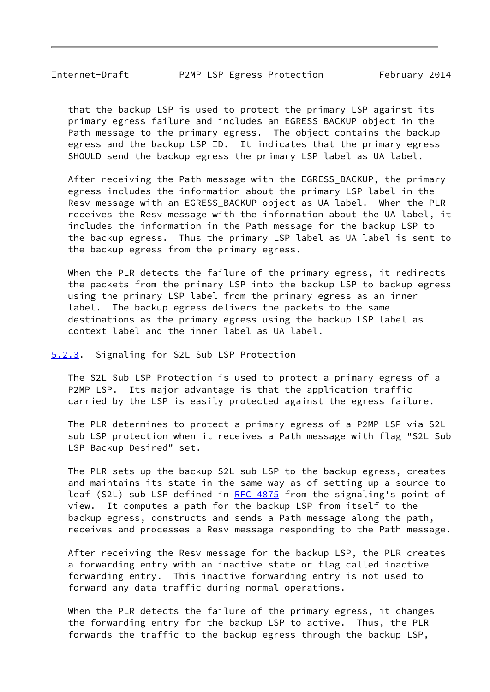<span id="page-9-1"></span> that the backup LSP is used to protect the primary LSP against its primary egress failure and includes an EGRESS\_BACKUP object in the Path message to the primary egress. The object contains the backup egress and the backup LSP ID. It indicates that the primary egress SHOULD send the backup egress the primary LSP label as UA label.

 After receiving the Path message with the EGRESS\_BACKUP, the primary egress includes the information about the primary LSP label in the Resv message with an EGRESS\_BACKUP object as UA label. When the PLR receives the Resv message with the information about the UA label, it includes the information in the Path message for the backup LSP to the backup egress. Thus the primary LSP label as UA label is sent to the backup egress from the primary egress.

When the PLR detects the failure of the primary egress, it redirects the packets from the primary LSP into the backup LSP to backup egress using the primary LSP label from the primary egress as an inner label. The backup egress delivers the packets to the same destinations as the primary egress using the backup LSP label as context label and the inner label as UA label.

#### <span id="page-9-0"></span>[5.2.3](#page-9-0). Signaling for S2L Sub LSP Protection

 The S2L Sub LSP Protection is used to protect a primary egress of a P2MP LSP. Its major advantage is that the application traffic carried by the LSP is easily protected against the egress failure.

 The PLR determines to protect a primary egress of a P2MP LSP via S2L sub LSP protection when it receives a Path message with flag "S2L Sub LSP Backup Desired" set.

 The PLR sets up the backup S2L sub LSP to the backup egress, creates and maintains its state in the same way as of setting up a source to leaf (S2L) sub LSP defined in [RFC 4875](https://datatracker.ietf.org/doc/pdf/rfc4875) from the signaling's point of view. It computes a path for the backup LSP from itself to the backup egress, constructs and sends a Path message along the path, receives and processes a Resv message responding to the Path message.

 After receiving the Resv message for the backup LSP, the PLR creates a forwarding entry with an inactive state or flag called inactive forwarding entry. This inactive forwarding entry is not used to forward any data traffic during normal operations.

 When the PLR detects the failure of the primary egress, it changes the forwarding entry for the backup LSP to active. Thus, the PLR forwards the traffic to the backup egress through the backup LSP,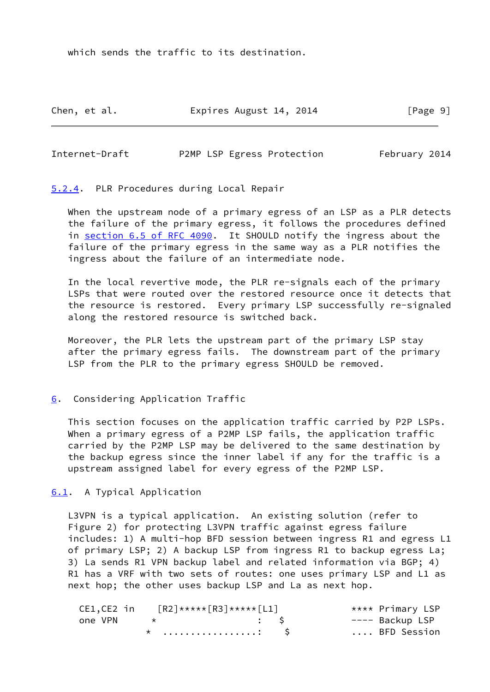which sends the traffic to its destination.

Chen, et al. **Expires August 14, 2014** [Page 9]

<span id="page-10-1"></span>Internet-Draft P2MP LSP Egress Protection February 2014

<span id="page-10-0"></span>[5.2.4](#page-10-0). PLR Procedures during Local Repair

 When the upstream node of a primary egress of an LSP as a PLR detects the failure of the primary egress, it follows the procedures defined in section [6.5 of RFC 4090](https://datatracker.ietf.org/doc/pdf/rfc4090#section-6.5). It SHOULD notify the ingress about the failure of the primary egress in the same way as a PLR notifies the ingress about the failure of an intermediate node.

 In the local revertive mode, the PLR re-signals each of the primary LSPs that were routed over the restored resource once it detects that the resource is restored. Every primary LSP successfully re-signaled along the restored resource is switched back.

 Moreover, the PLR lets the upstream part of the primary LSP stay after the primary egress fails. The downstream part of the primary LSP from the PLR to the primary egress SHOULD be removed.

# <span id="page-10-2"></span>[6](#page-10-2). Considering Application Traffic

 This section focuses on the application traffic carried by P2P LSPs. When a primary egress of a P2MP LSP fails, the application traffic carried by the P2MP LSP may be delivered to the same destination by the backup egress since the inner label if any for the traffic is a upstream assigned label for every egress of the P2MP LSP.

<span id="page-10-3"></span>[6.1](#page-10-3). A Typical Application

 L3VPN is a typical application. An existing solution (refer to Figure 2) for protecting L3VPN traffic against egress failure includes: 1) A multi-hop BFD session between ingress R1 and egress L1 of primary LSP; 2) A backup LSP from ingress R1 to backup egress La; 3) La sends R1 VPN backup label and related information via BGP; 4) R1 has a VRF with two sets of routes: one uses primary LSP and L1 as next hop; the other uses backup LSP and La as next hop.

| CE1,CE2 in |             | $\lceil R2 \rceil$ ***** $\lceil R3 \rceil$ ***** $\lceil L1 \rceil$ | **** Primary LSP |
|------------|-------------|----------------------------------------------------------------------|------------------|
| one VPN    | $\star$ . S |                                                                      | ---- Backup LSP  |
|            |             | $\star$ : $\sim$                                                     | BFD Session      |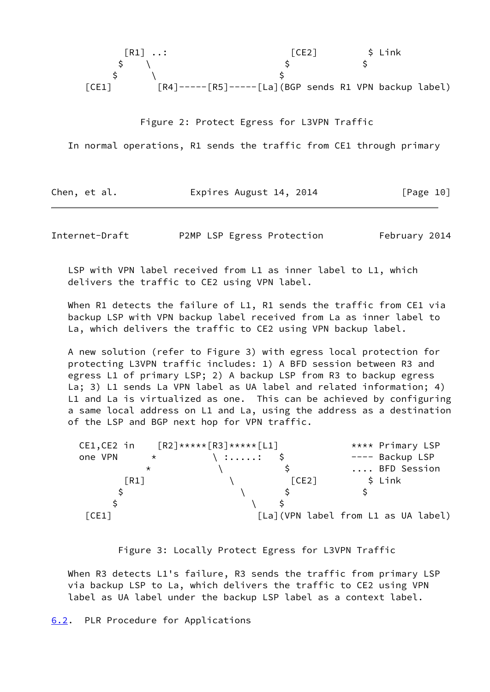|       | $\lceil R1 \rceil \ldots$                                                                          | ICE2 |  | \$ Link |  |
|-------|----------------------------------------------------------------------------------------------------|------|--|---------|--|
|       |                                                                                                    |      |  |         |  |
|       |                                                                                                    |      |  |         |  |
| ICE11 | $\lceil RA \rceil$ ---- $\lceil RS \rceil$ ---- $\lceil La \rceil$ (BGP sends R1 VPN backup label) |      |  |         |  |

Figure 2: Protect Egress for L3VPN Traffic

In normal operations, R1 sends the traffic from CE1 through primary

Chen, et al. **Expires August 14, 2014** [Page 10]

<span id="page-11-1"></span>Internet-Draft P2MP LSP Egress Protection February 2014

 LSP with VPN label received from L1 as inner label to L1, which delivers the traffic to CE2 using VPN label.

When R1 detects the failure of L1, R1 sends the traffic from CE1 via backup LSP with VPN backup label received from La as inner label to La, which delivers the traffic to CE2 using VPN backup label.

 A new solution (refer to Figure 3) with egress local protection for protecting L3VPN traffic includes: 1) A BFD session between R3 and egress L1 of primary LSP; 2) A backup LSP from R3 to backup egress La; 3) L1 sends La VPN label as UA label and related information; 4) L1 and La is virtualized as one. This can be achieved by configuring a same local address on L1 and La, using the address as a destination of the LSP and BGP next hop for VPN traffic.

| CE1,CE2 in |         |                    |                       |                                                                                 | **** Primary LSP                    |
|------------|---------|--------------------|-----------------------|---------------------------------------------------------------------------------|-------------------------------------|
| one VPN    | $\star$ |                    |                       |                                                                                 | ---- Backup LSP                     |
|            |         |                    |                       |                                                                                 | BFD Session                         |
|            |         |                    | $\lceil$ CE2 $\rceil$ |                                                                                 | $$$ Link                            |
|            |         |                    |                       |                                                                                 |                                     |
|            |         |                    |                       |                                                                                 |                                     |
| [CE1]      |         |                    |                       |                                                                                 |                                     |
|            |         | $\lceil R1 \rceil$ |                       | $\lceil R2 \rceil$ ***** $\lceil R3 \rceil$ ***** $\lceil L1 \rceil$<br>\ :: \$ | [La](VPN label from L1 as UA label) |

Figure 3: Locally Protect Egress for L3VPN Traffic

When R3 detects L1's failure, R3 sends the traffic from primary LSP via backup LSP to La, which delivers the traffic to CE2 using VPN label as UA label under the backup LSP label as a context label.

<span id="page-11-0"></span>[6.2](#page-11-0). PLR Procedure for Applications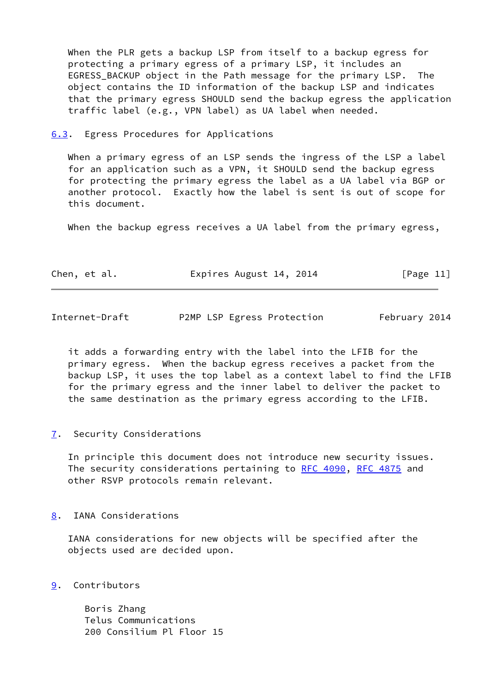When the PLR gets a backup LSP from itself to a backup egress for protecting a primary egress of a primary LSP, it includes an EGRESS BACKUP object in the Path message for the primary LSP. The object contains the ID information of the backup LSP and indicates that the primary egress SHOULD send the backup egress the application traffic label (e.g., VPN label) as UA label when needed.

<span id="page-12-0"></span>[6.3](#page-12-0). Egress Procedures for Applications

When a primary egress of an LSP sends the ingress of the LSP a label for an application such as a VPN, it SHOULD send the backup egress for protecting the primary egress the label as a UA label via BGP or another protocol. Exactly how the label is sent is out of scope for this document.

When the backup egress receives a UA label from the primary egress,

| Chen, et al. | Expires August 14, 2014 | [Page 11] |
|--------------|-------------------------|-----------|
|              |                         |           |

<span id="page-12-2"></span>Internet-Draft P2MP LSP Egress Protection February 2014

 it adds a forwarding entry with the label into the LFIB for the primary egress. When the backup egress receives a packet from the backup LSP, it uses the top label as a context label to find the LFIB for the primary egress and the inner label to deliver the packet to the same destination as the primary egress according to the LFIB.

<span id="page-12-1"></span>[7](#page-12-1). Security Considerations

 In principle this document does not introduce new security issues. The security considerations pertaining to [RFC 4090](https://datatracker.ietf.org/doc/pdf/rfc4090), [RFC 4875](https://datatracker.ietf.org/doc/pdf/rfc4875) and other RSVP protocols remain relevant.

# <span id="page-12-3"></span>[8](#page-12-3). IANA Considerations

 IANA considerations for new objects will be specified after the objects used are decided upon.

<span id="page-12-4"></span>[9](#page-12-4). Contributors

 Boris Zhang Telus Communications 200 Consilium Pl Floor 15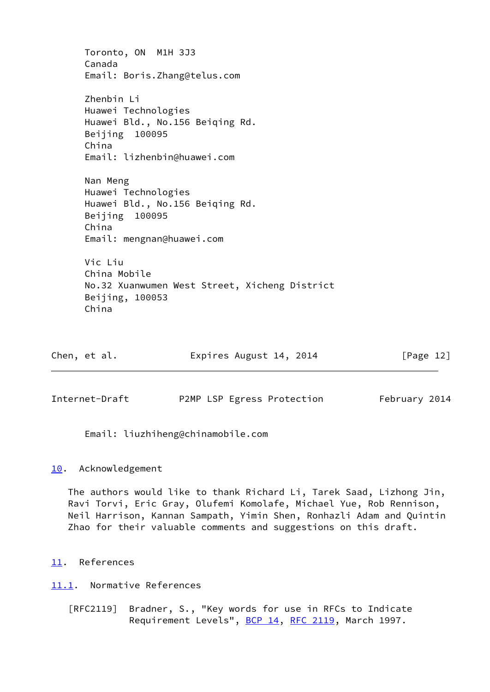Toronto, ON M1H 3J3 Canada Email: Boris.Zhang@telus.com Zhenbin Li Huawei Technologies Huawei Bld., No.156 Beiqing Rd. Beijing 100095 China Email: lizhenbin@huawei.com Nan Meng Huawei Technologies Huawei Bld., No.156 Beiqing Rd. Beijing 100095 China Email: mengnan@huawei.com Vic Liu China Mobile No.32 Xuanwumen West Street, Xicheng District Beijing, 100053 China

| Chen, et al. | Expires August 14, 2014 | [Page 12] |
|--------------|-------------------------|-----------|
|              |                         |           |

<span id="page-13-1"></span>Internet-Draft P2MP LSP Egress Protection February 2014

Email: liuzhiheng@chinamobile.com

# <span id="page-13-0"></span>[10.](#page-13-0) Acknowledgement

 The authors would like to thank Richard Li, Tarek Saad, Lizhong Jin, Ravi Torvi, Eric Gray, Olufemi Komolafe, Michael Yue, Rob Rennison, Neil Harrison, Kannan Sampath, Yimin Shen, Ronhazli Adam and Quintin Zhao for their valuable comments and suggestions on this draft.

<span id="page-13-2"></span>[11.](#page-13-2) References

<span id="page-13-3"></span>[11.1](#page-13-3). Normative References

 [RFC2119] Bradner, S., "Key words for use in RFCs to Indicate Requirement Levels", [BCP 14](https://datatracker.ietf.org/doc/pdf/bcp14), [RFC 2119](https://datatracker.ietf.org/doc/pdf/rfc2119), March 1997.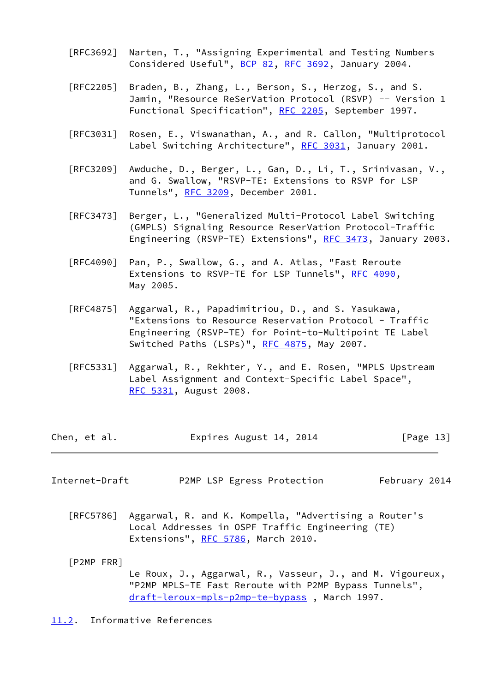- [RFC3692] Narten, T., "Assigning Experimental and Testing Numbers Considered Useful", [BCP 82](https://datatracker.ietf.org/doc/pdf/bcp82), [RFC 3692,](https://datatracker.ietf.org/doc/pdf/rfc3692) January 2004.
- [RFC2205] Braden, B., Zhang, L., Berson, S., Herzog, S., and S. Jamin, "Resource ReSerVation Protocol (RSVP) -- Version 1 Functional Specification", [RFC 2205](https://datatracker.ietf.org/doc/pdf/rfc2205), September 1997.
- [RFC3031] Rosen, E., Viswanathan, A., and R. Callon, "Multiprotocol Label Switching Architecture", [RFC 3031](https://datatracker.ietf.org/doc/pdf/rfc3031), January 2001.
- [RFC3209] Awduche, D., Berger, L., Gan, D., Li, T., Srinivasan, V., and G. Swallow, "RSVP-TE: Extensions to RSVP for LSP Tunnels", [RFC 3209](https://datatracker.ietf.org/doc/pdf/rfc3209), December 2001.
- [RFC3473] Berger, L., "Generalized Multi-Protocol Label Switching (GMPLS) Signaling Resource ReserVation Protocol-Traffic Engineering (RSVP-TE) Extensions", [RFC 3473](https://datatracker.ietf.org/doc/pdf/rfc3473), January 2003.
- [RFC4090] Pan, P., Swallow, G., and A. Atlas, "Fast Reroute Extensions to RSVP-TE for LSP Tunnels", [RFC 4090,](https://datatracker.ietf.org/doc/pdf/rfc4090) May 2005.
- [RFC4875] Aggarwal, R., Papadimitriou, D., and S. Yasukawa, "Extensions to Resource Reservation Protocol - Traffic Engineering (RSVP-TE) for Point-to-Multipoint TE Label Switched Paths (LSPs)", [RFC 4875,](https://datatracker.ietf.org/doc/pdf/rfc4875) May 2007.
- [RFC5331] Aggarwal, R., Rekhter, Y., and E. Rosen, "MPLS Upstream Label Assignment and Context-Specific Label Space", [RFC 5331,](https://datatracker.ietf.org/doc/pdf/rfc5331) August 2008.

| Chen, et al. |  | Expires August 14, 2014 | [Page 13] |
|--------------|--|-------------------------|-----------|
|--------------|--|-------------------------|-----------|

- <span id="page-14-1"></span>Internet-Draft P2MP LSP Egress Protection February 2014
	- [RFC5786] Aggarwal, R. and K. Kompella, "Advertising a Router's Local Addresses in OSPF Traffic Engineering (TE) Extensions", [RFC 5786](https://datatracker.ietf.org/doc/pdf/rfc5786), March 2010.

 [P2MP FRR] Le Roux, J., Aggarwal, R., Vasseur, J., and M. Vigoureux, "P2MP MPLS-TE Fast Reroute with P2MP Bypass Tunnels", [draft-leroux-mpls-p2mp-te-bypass](https://datatracker.ietf.org/doc/pdf/draft-leroux-mpls-p2mp-te-bypass) , March 1997.

<span id="page-14-0"></span>[11.2](#page-14-0). Informative References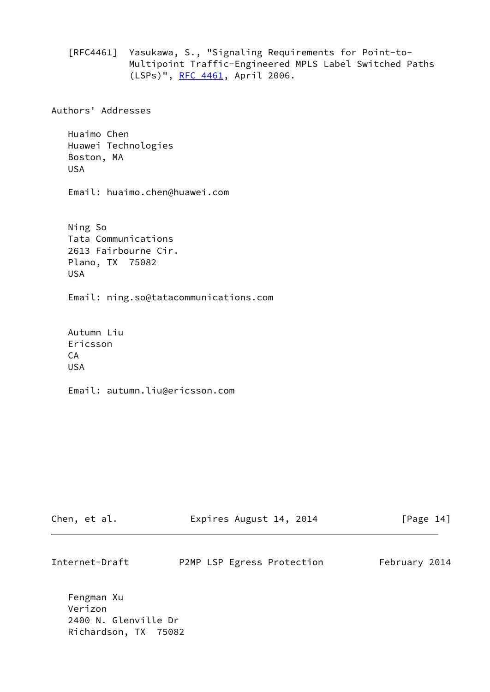[RFC4461] Yasukawa, S., "Signaling Requirements for Point-to- Multipoint Traffic-Engineered MPLS Label Switched Paths (LSPs)", [RFC 4461,](https://datatracker.ietf.org/doc/pdf/rfc4461) April 2006.

Authors' Addresses

 Huaimo Chen Huawei Technologies Boston, MA USA

Email: huaimo.chen@huawei.com

 Ning So Tata Communications 2613 Fairbourne Cir. Plano, TX 75082 USA

Email: ning.so@tatacommunications.com

 Autumn Liu Ericsson CA USA

Email: autumn.liu@ericsson.com

| Chen, et al.   | Expires August 14, 2014    | [Page 14]     |
|----------------|----------------------------|---------------|
| Internet-Draft | P2MP LSP Egress Protection | February 2014 |
| Fengman Xu     |                            |               |

 Verizon 2400 N. Glenville Dr Richardson, TX 75082